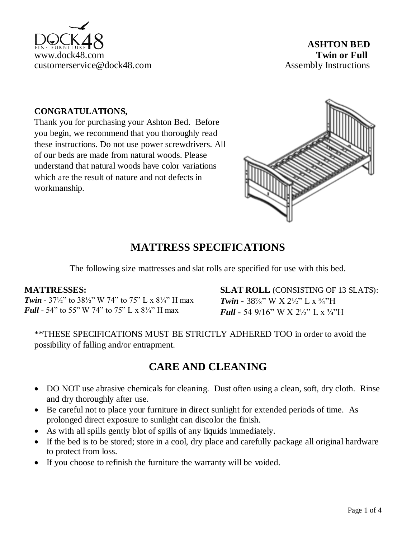

#### **CONGRATULATIONS,**

Thank you for purchasing your Ashton Bed. Before you begin, we recommend that you thoroughly read these instructions. Do not use power screwdrivers. All of our beds are made from natural woods. Please understand that natural woods have color variations which are the result of nature and not defects in workmanship.



#### **MATTRESS SPECIFICATIONS**

The following size mattresses and slat rolls are specified for use with this bed.

#### **MATTRESSES:**

*Twin* - 37½" to 38½" W 74" to 75" L x 8¼" H max *Full* - 54" to 55" W 74" to 75" L x 8¼" H max

**SLAT ROLL** (CONSISTING OF 13 SLATS): *Twin* - 38<sup>7</sup>/<sub>8</sub><sup>\*</sup>, W X 2<sup>1</sup>/<sub>2</sub><sup>\*</sup>, L x <sup>3</sup>/<sub>4</sub><sup>\*</sup>H *Full* - 54 9/16" W X 2½" L x 3/4"H

\*\*THESE SPECIFICATIONS MUST BE STRICTLY ADHERED TOO in order to avoid the possibility of falling and/or entrapment.

### **CARE AND CLEANING**

- DO NOT use abrasive chemicals for cleaning. Dust often using a clean, soft, dry cloth. Rinse and dry thoroughly after use.
- Be careful not to place your furniture in direct sunlight for extended periods of time. As prolonged direct exposure to sunlight can discolor the finish.
- As with all spills gently blot of spills of any liquids immediately.
- If the bed is to be stored; store in a cool, dry place and carefully package all original hardware to protect from loss.
- If you choose to refinish the furniture the warranty will be voided.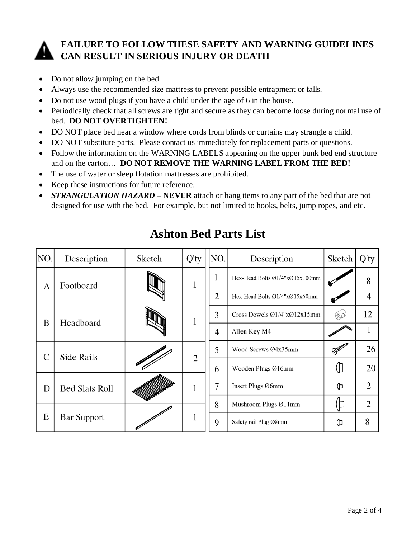

### **FAILURE TO FOLLOW THESE SAFETY AND WARNING GUIDELINES CAN RESULT IN SERIOUS INJURY OR DEATH**

- Do not allow jumping on the bed.
- Always use the recommended size mattress to prevent possible entrapment or falls.
- Do not use wood plugs if you have a child under the age of 6 in the house.
- Periodically check that all screws are tight and secure as they can become loose during normal use of bed. **DO NOT OVERTIGHTEN!**
- DO NOT place bed near a window where cords from blinds or curtains may strangle a child.
- DO NOT substitute parts. Please contact us immediately for replacement parts or questions.
- Follow the information on the WARNING LABELS appearing on the upper bunk bed end structure and on the carton… **DO NOT REMOVE THE WARNING LABEL FROM THE BED!**
- The use of water or sleep flotation mattresses are prohibited.
- Keep these instructions for future reference.
- *STRANGULATION HAZARD* **NEVER** attach or hang items to any part of the bed that are not designed for use with the bed. For example, but not limited to hooks, belts, jump ropes, and etc.

| NO.           | Description           | Sketch | $Q'$ ty        | NO.            | Description                    | Sketch        | $Q'$ ty        |
|---------------|-----------------------|--------|----------------|----------------|--------------------------------|---------------|----------------|
| A             | Footboard             |        | 1              | 1              | Hex-Head Bolts Ø1/4"xØ15x100mm |               | 8              |
|               |                       |        |                | $\overline{2}$ | Hex-Head Bolts Ø1/4"xØ15x60mm  |               | $\overline{4}$ |
| B             | Headboard             |        | 1              | 3              | Cross Dowels Ø1/4"xØ12x15mm    | <b>BO</b>     | 12             |
|               |                       |        |                | 4              | Allen Key M4                   |               |                |
| $\mathcal{C}$ | <b>Side Rails</b>     |        | $\overline{2}$ | 5              | Wood Screws Ø4x35mm            | <b>Summer</b> | 26             |
|               |                       |        |                | 6              | Wooden Plugs Ø16mm             |               | 20             |
| D             | <b>Bed Slats Roll</b> |        |                | 7              | Insert Plugs Ø6mm              | ⊕             | $\overline{2}$ |
| E             | <b>Bar Support</b>    |        |                | 8              | Mushroom Plugs Ø11mm           |               | $\overline{2}$ |
|               |                       |        |                | 9              | Safety rail Plug Ø8mm          | ⊕             | 8              |

## **Ashton Bed Parts List**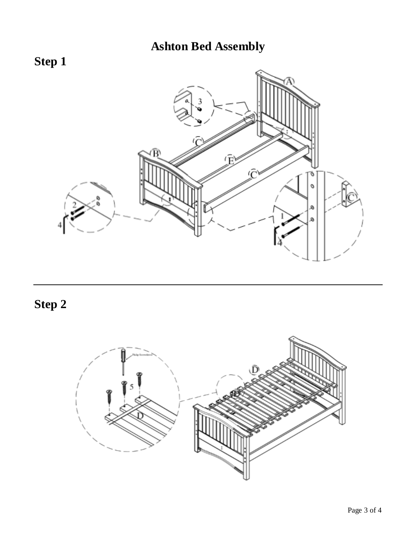# **Ashton Bed Assembly**



**Step 2**